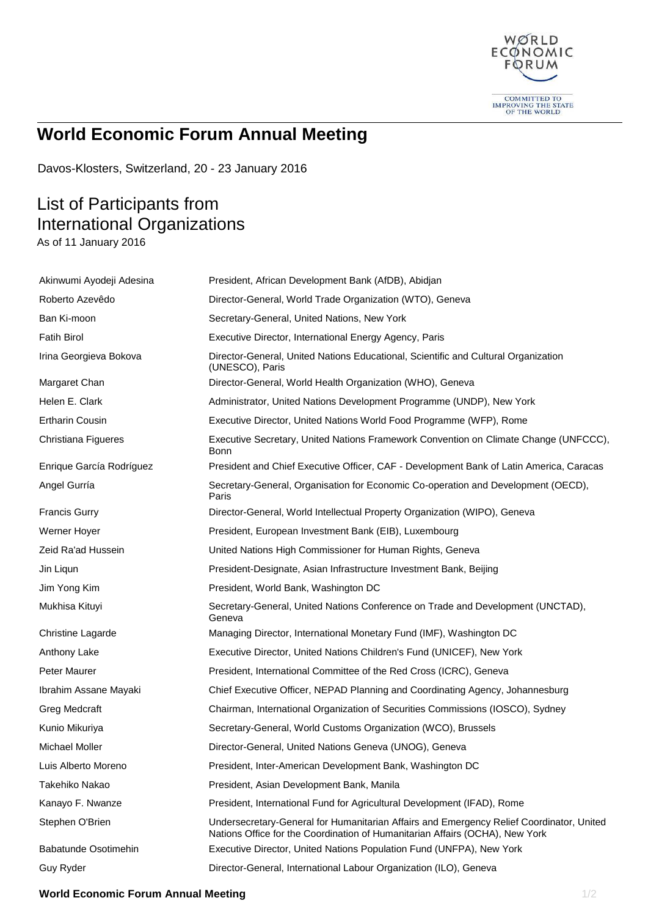

## **World Economic Forum Annual Meeting**

Davos-Klosters, Switzerland, 20 - 23 January 2016

## List of Participants from International Organizations

As of 11 January 2016

| Akinwumi Ayodeji Adesina | President, African Development Bank (AfDB), Abidjan                                                                                                                      |
|--------------------------|--------------------------------------------------------------------------------------------------------------------------------------------------------------------------|
| Roberto Azevêdo          | Director-General, World Trade Organization (WTO), Geneva                                                                                                                 |
| Ban Ki-moon              | Secretary-General, United Nations, New York                                                                                                                              |
| <b>Fatih Birol</b>       | Executive Director, International Energy Agency, Paris                                                                                                                   |
| Irina Georgieva Bokova   | Director-General, United Nations Educational, Scientific and Cultural Organization<br>(UNESCO), Paris                                                                    |
| Margaret Chan            | Director-General, World Health Organization (WHO), Geneva                                                                                                                |
| Helen E. Clark           | Administrator, United Nations Development Programme (UNDP), New York                                                                                                     |
| <b>Ertharin Cousin</b>   | Executive Director, United Nations World Food Programme (WFP), Rome                                                                                                      |
| Christiana Figueres      | Executive Secretary, United Nations Framework Convention on Climate Change (UNFCCC),<br>Bonn                                                                             |
| Enrique García Rodríguez | President and Chief Executive Officer, CAF - Development Bank of Latin America, Caracas                                                                                  |
| Angel Gurría             | Secretary-General, Organisation for Economic Co-operation and Development (OECD),<br>Paris                                                                               |
| <b>Francis Gurry</b>     | Director-General, World Intellectual Property Organization (WIPO), Geneva                                                                                                |
| Werner Hoyer             | President, European Investment Bank (EIB), Luxembourg                                                                                                                    |
| Zeid Ra'ad Hussein       | United Nations High Commissioner for Human Rights, Geneva                                                                                                                |
| Jin Liqun                | President-Designate, Asian Infrastructure Investment Bank, Beijing                                                                                                       |
| Jim Yong Kim             | President, World Bank, Washington DC                                                                                                                                     |
| Mukhisa Kituyi           | Secretary-General, United Nations Conference on Trade and Development (UNCTAD),<br>Geneva                                                                                |
| Christine Lagarde        | Managing Director, International Monetary Fund (IMF), Washington DC                                                                                                      |
| Anthony Lake             | Executive Director, United Nations Children's Fund (UNICEF), New York                                                                                                    |
| Peter Maurer             | President, International Committee of the Red Cross (ICRC), Geneva                                                                                                       |
| Ibrahim Assane Mayaki    | Chief Executive Officer, NEPAD Planning and Coordinating Agency, Johannesburg                                                                                            |
| Greg Medcraft            | Chairman, International Organization of Securities Commissions (IOSCO), Sydney                                                                                           |
| Kunio Mikuriya           | Secretary-General, World Customs Organization (WCO), Brussels                                                                                                            |
| Michael Moller           | Director-General, United Nations Geneva (UNOG), Geneva                                                                                                                   |
| Luis Alberto Moreno      | President, Inter-American Development Bank, Washington DC                                                                                                                |
| Takehiko Nakao           | President, Asian Development Bank, Manila                                                                                                                                |
| Kanayo F. Nwanze         | President, International Fund for Agricultural Development (IFAD), Rome                                                                                                  |
| Stephen O'Brien          | Undersecretary-General for Humanitarian Affairs and Emergency Relief Coordinator, United<br>Nations Office for the Coordination of Humanitarian Affairs (OCHA), New York |
| Babatunde Osotimehin     | Executive Director, United Nations Population Fund (UNFPA), New York                                                                                                     |
| Guy Ryder                | Director-General, International Labour Organization (ILO), Geneva                                                                                                        |

## **World Economic Forum Annual Meeting 1/2 2012 12:20 12:20 12:20 12:20 12:20 12:20 12:20 12:20 12:20 12:20 12:20 12:20 12:20 12:20 12:20 12:20 12:20 12:20 12:20 12:20 12:20 12:20 12:20 12:20 12:20 12:20 12:20 12:20 12:20 12**